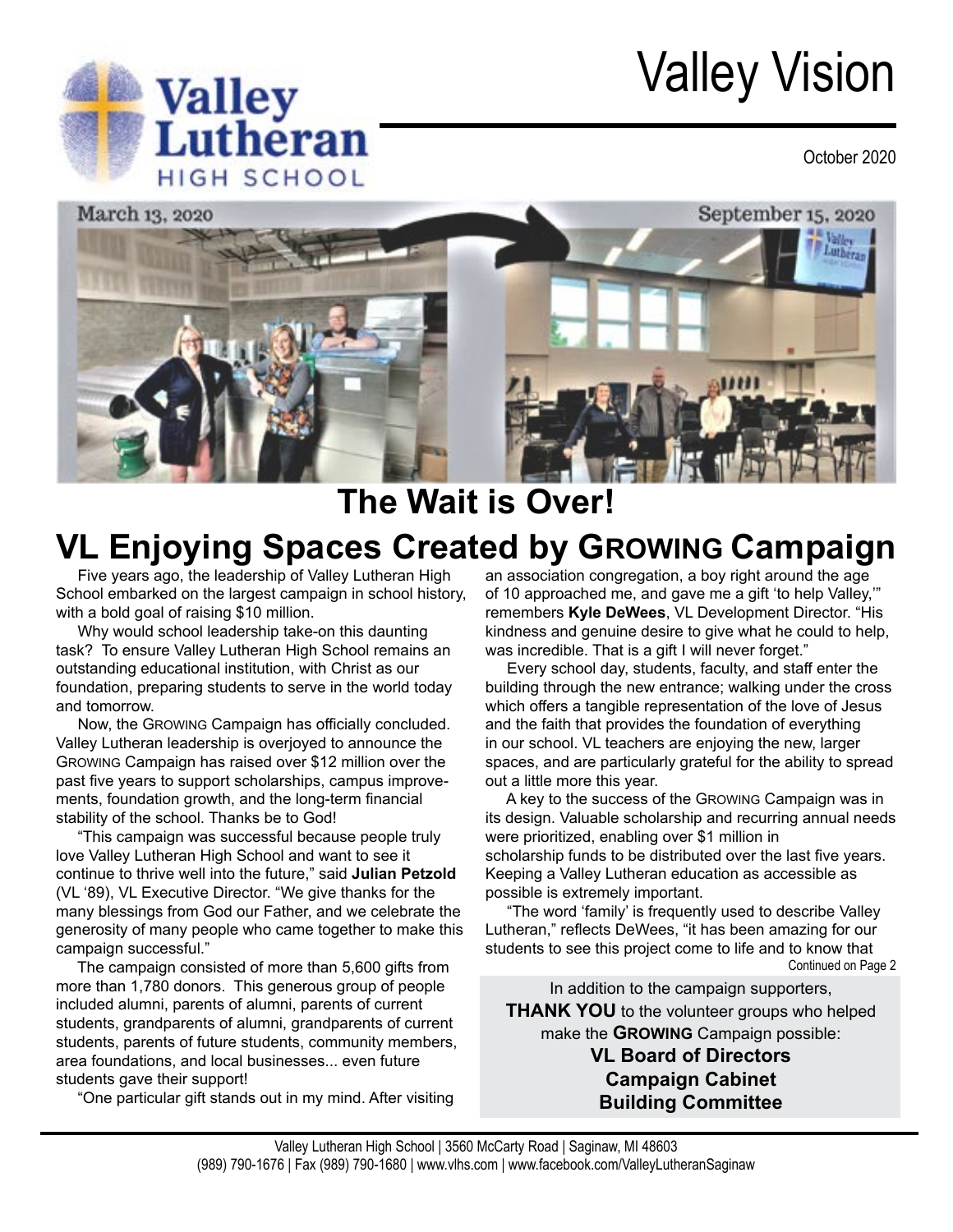# Valley Vision





## **The Wait is Over! VL Enjoying Spaces Created by GROWING Campaign**

 Five years ago, the leadership of Valley Lutheran High School embarked on the largest campaign in school history, with a bold goal of raising \$10 million.

**Valley**<br> **Lutheran** 

 Why would school leadership take-on this daunting task? To ensure Valley Lutheran High School remains an outstanding educational institution, with Christ as our foundation, preparing students to serve in the world today and tomorrow.

 Now, the GROWING Campaign has officially concluded. Valley Lutheran leadership is overjoyed to announce the GROWING Campaign has raised over \$12 million over the past five years to support scholarships, campus improvements, foundation growth, and the long-term financial stability of the school. Thanks be to God!

 "This campaign was successful because people truly love Valley Lutheran High School and want to see it continue to thrive well into the future," said **Julian Petzold** (VL '89), VL Executive Director. "We give thanks for the many blessings from God our Father, and we celebrate the generosity of many people who came together to make this campaign successful."

 The campaign consisted of more than 5,600 gifts from more than 1,780 donors. This generous group of people included alumni, parents of alumni, parents of current students, grandparents of alumni, grandparents of current students, parents of future students, community members, area foundations, and local businesses... even future students gave their support!

"One particular gift stands out in my mind. After visiting

an association congregation, a boy right around the age of 10 approached me, and gave me a gift 'to help Valley,'" remembers **Kyle DeWees**, VL Development Director. "His kindness and genuine desire to give what he could to help, was incredible. That is a gift I will never forget."

 Every school day, students, faculty, and staff enter the building through the new entrance; walking under the cross which offers a tangible representation of the love of Jesus and the faith that provides the foundation of everything in our school. VL teachers are enjoying the new, larger spaces, and are particularly grateful for the ability to spread out a little more this year.

 A key to the success of the GROWING Campaign was in its design. Valuable scholarship and recurring annual needs were prioritized, enabling over \$1 million in scholarship funds to be distributed over the last five years. Keeping a Valley Lutheran education as accessible as possible is extremely important.

Continued on Page 2 "The word 'family' is frequently used to describe Valley Lutheran," reflects DeWees, "it has been amazing for our students to see this project come to life and to know that

In addition to the campaign supporters,

**THANK YOU** to the volunteer groups who helped make the **GROWING** Campaign possible:

> **VL Board of Directors Campaign Cabinet Building Committee**